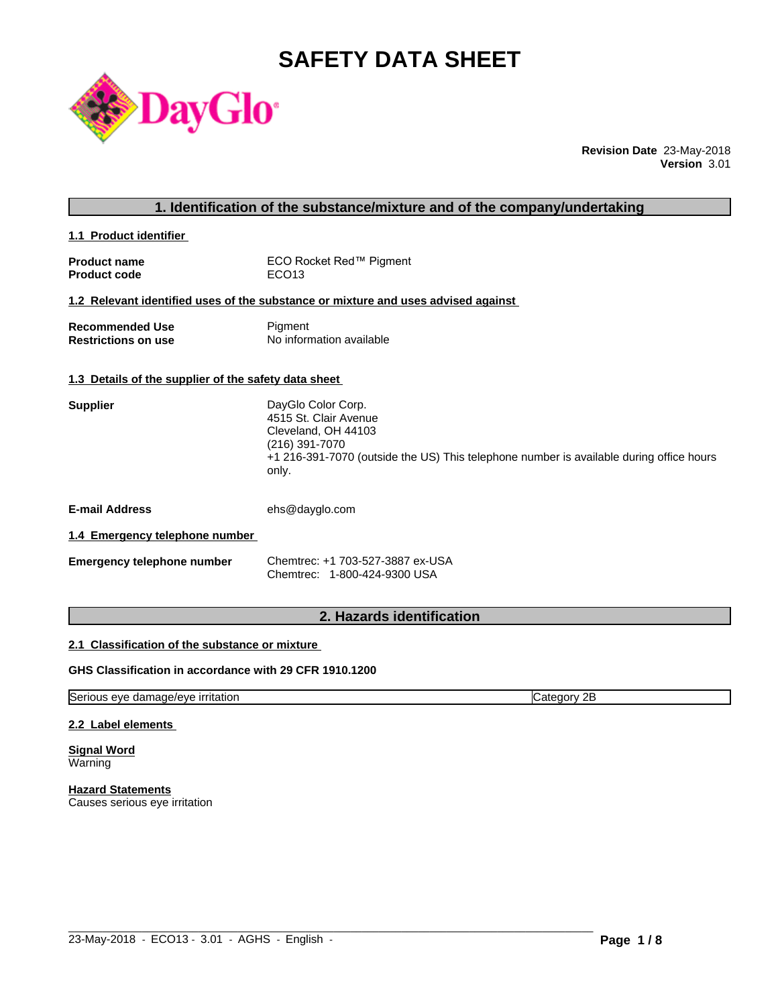# **SAFETY DATA SHEET**



**Revision Date** 23-May-2018 **Version** 3.01

|                                                      | 1. Identification of the substance/mixture and of the company/undertaking                                                                                                                |
|------------------------------------------------------|------------------------------------------------------------------------------------------------------------------------------------------------------------------------------------------|
| 1.1 Product identifier                               |                                                                                                                                                                                          |
| <b>Product name</b><br><b>Product code</b>           | ECO Rocket Red™ Pigment<br>ECO <sub>13</sub>                                                                                                                                             |
|                                                      | 1.2 Relevant identified uses of the substance or mixture and uses advised against                                                                                                        |
| <b>Recommended Use</b><br><b>Restrictions on use</b> | Pigment<br>No information available                                                                                                                                                      |
| 1.3 Details of the supplier of the safety data sheet |                                                                                                                                                                                          |
| <b>Supplier</b>                                      | DayGlo Color Corp.<br>4515 St. Clair Avenue<br>Cleveland, OH 44103<br>(216) 391-7070<br>+1 216-391-7070 (outside the US) This telephone number is available during office hours<br>only. |
| <b>E-mail Address</b>                                | ehs@dayglo.com                                                                                                                                                                           |
| 1.4 Emergency telephone number                       |                                                                                                                                                                                          |
| <b>Emergency telephone number</b>                    | Chemtrec: +1 703-527-3887 ex-USA<br>Chemtrec: 1-800-424-9300 USA                                                                                                                         |
|                                                      |                                                                                                                                                                                          |

# **2. Hazards identification**

#### **2.1 Classification of the substance or mixture**

#### **GHS Classification in accordance with 29 CFR 1910.1200**

Serious eye damage/eye irritation contract the contract of Category 2B

 $\_$  ,  $\_$  ,  $\_$  ,  $\_$  ,  $\_$  ,  $\_$  ,  $\_$  ,  $\_$  ,  $\_$  ,  $\_$  ,  $\_$  ,  $\_$  ,  $\_$  ,  $\_$  ,  $\_$  ,  $\_$  ,  $\_$  ,  $\_$  ,  $\_$  ,  $\_$  ,  $\_$  ,  $\_$  ,  $\_$  ,  $\_$  ,  $\_$  ,  $\_$  ,  $\_$  ,  $\_$  ,  $\_$  ,  $\_$  ,  $\_$  ,  $\_$  ,  $\_$  ,  $\_$  ,  $\_$  ,  $\_$  ,  $\_$  ,

#### **2.2 Label elements**

**Signal Word** Warning

**Hazard Statements** Causes serious eye irritation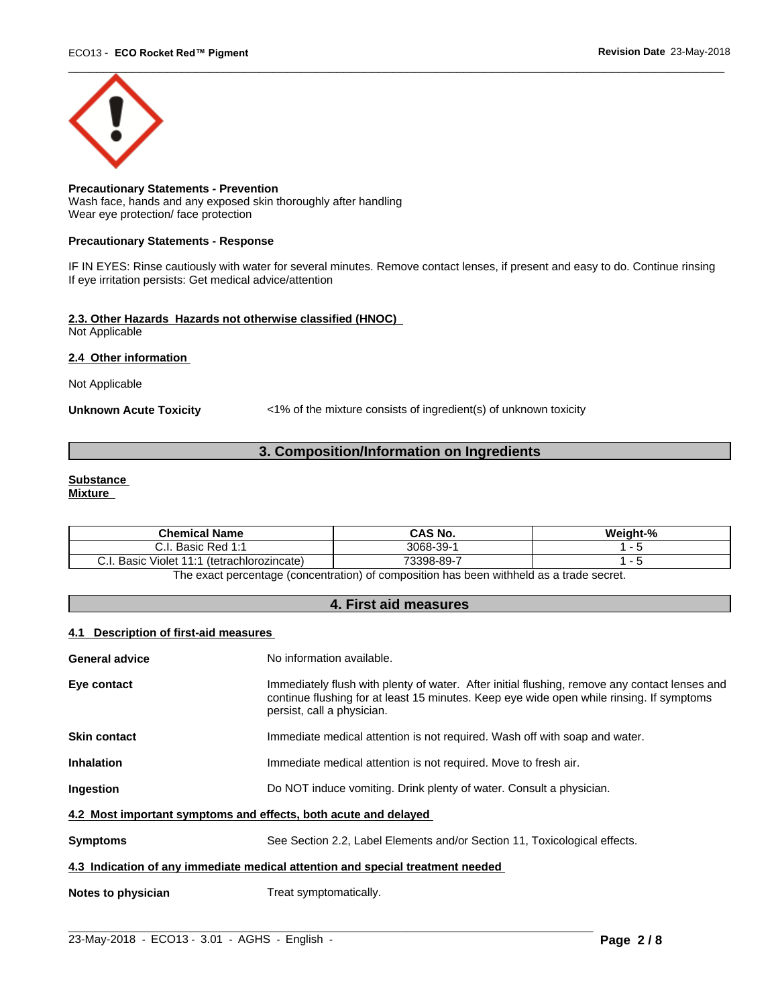

**Precautionary Statements - Prevention** Wash face, hands and any exposed skin thoroughly after handling Wear eye protection/ face protection

#### **Precautionary Statements - Response**

IF IN EYES: Rinse cautiously with water for several minutes. Remove contact lenses, if present and easy to do. Continue rinsing If eye irritation persists: Get medical advice/attention

#### **2.3. Other Hazards Hazards not otherwise classified (HNOC)** Not Applicable

#### **2.4 Other information**

Not Applicable

**Unknown Acute Toxicity** <1% of the mixture consists of ingredient(s) of unknown toxicity

### **3. Composition/Information on Ingredients**

# **Substance**

**Mixture**

| <b>Chemical Name</b>                                                                                                                   | <b>CAS No.</b> | <br>$\mathbf{a}$<br>Weight-% |
|----------------------------------------------------------------------------------------------------------------------------------------|----------------|------------------------------|
| Red 1:1<br>Basic<br>                                                                                                                   | 3068-39-       |                              |
| $\cdots$<br>Basic<br>$\begin{array}{c} \n \stackrel{\frown}{\phantom{} A} \n \end{array}$<br>(tetrachlorozincate)<br>. .<br>Violet<br> | 73398-89-      |                              |

The exact percentage (concentration) of composition has been withheld as a trade secret.

#### **4. First aid measures**

#### **4.1 Description of first-aid measures**

| General advice                                                  | No information available.                                                                                                                                                                                               |  |
|-----------------------------------------------------------------|-------------------------------------------------------------------------------------------------------------------------------------------------------------------------------------------------------------------------|--|
| Eye contact                                                     | Immediately flush with plenty of water. After initial flushing, remove any contact lenses and<br>continue flushing for at least 15 minutes. Keep eye wide open while rinsing. If symptoms<br>persist, call a physician. |  |
| Skin contact                                                    | Immediate medical attention is not required. Wash off with soap and water.                                                                                                                                              |  |
| Inhalation                                                      | Immediate medical attention is not required. Move to fresh air.                                                                                                                                                         |  |
| Ingestion                                                       | Do NOT induce vomiting. Drink plenty of water. Consult a physician.                                                                                                                                                     |  |
| 4.2 Most important symptoms and effects, both acute and delayed |                                                                                                                                                                                                                         |  |
| Symptoms                                                        | See Section 2.2, Label Elements and/or Section 11, Toxicological effects.                                                                                                                                               |  |
|                                                                 | 4.3 Indication of any immediate medical attention and special treatment needed                                                                                                                                          |  |
| Notes to physician                                              | Treat symptomatically.                                                                                                                                                                                                  |  |
|                                                                 |                                                                                                                                                                                                                         |  |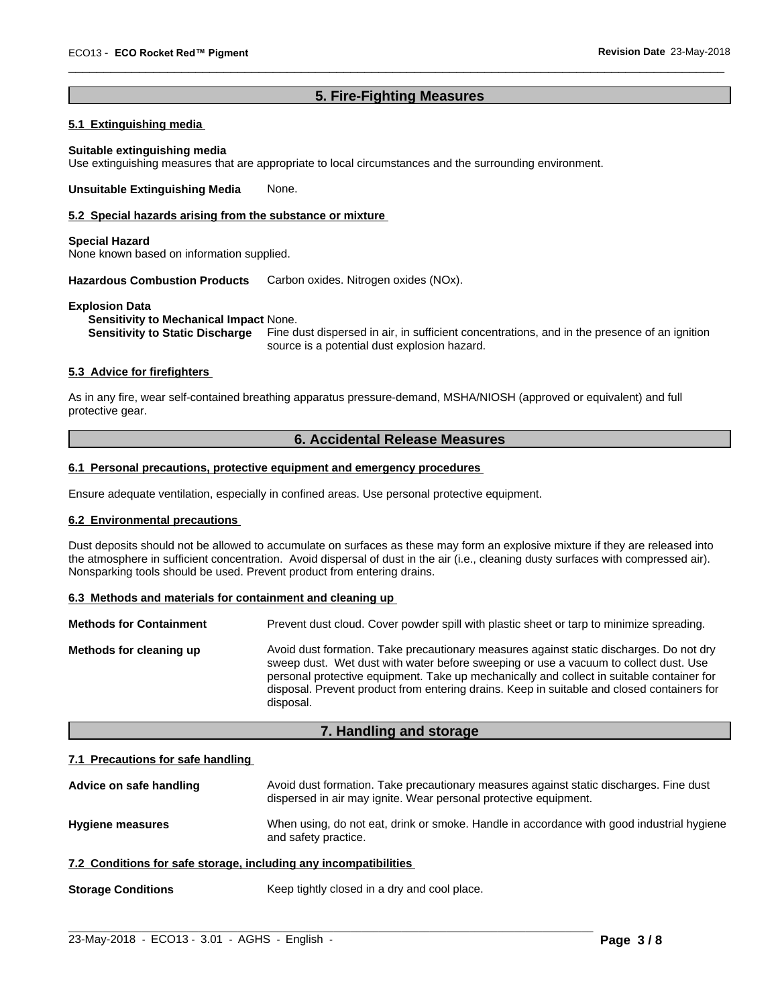### **5. Fire-Fighting Measures**

 $\overline{\phantom{a}}$  ,  $\overline{\phantom{a}}$  ,  $\overline{\phantom{a}}$  ,  $\overline{\phantom{a}}$  ,  $\overline{\phantom{a}}$  ,  $\overline{\phantom{a}}$  ,  $\overline{\phantom{a}}$  ,  $\overline{\phantom{a}}$  ,  $\overline{\phantom{a}}$  ,  $\overline{\phantom{a}}$  ,  $\overline{\phantom{a}}$  ,  $\overline{\phantom{a}}$  ,  $\overline{\phantom{a}}$  ,  $\overline{\phantom{a}}$  ,  $\overline{\phantom{a}}$  ,  $\overline{\phantom{a}}$ 

## **5.1 Extinguishing media**

#### **Suitable extinguishing media**

Use extinguishing measures that are appropriate to local circumstances and the surrounding environment.

**Unsuitable Extinguishing Media** None.

#### **5.2 Special hazards arising from the substance or mixture**

#### **Special Hazard**

None known based on information supplied.

**Hazardous Combustion Products** Carbon oxides. Nitrogen oxides (NOx).

#### **Explosion Data**

**Sensitivity to Mechanical Impact** None.

**Sensitivity to Static Discharge** Fine dust dispersed in air, in sufficient concentrations, and in the presence of an ignition source is a potential dust explosion hazard.

#### **5.3 Advice for firefighters**

As in any fire, wear self-contained breathing apparatus pressure-demand, MSHA/NIOSH (approved or equivalent) and full protective gear.

#### **6. Accidental Release Measures**

#### **6.1 Personal precautions, protective equipment and emergency procedures**

Ensure adequate ventilation, especially in confined areas. Use personal protective equipment.

#### **6.2 Environmental precautions**

Dust deposits should not be allowed to accumulate on surfaces as these may form an explosive mixture if they are released into the atmosphere in sufficient concentration. Avoid dispersal of dust in the air (i.e., cleaning dusty surfaces with compressed air). Nonsparking tools should be used. Prevent product from entering drains.

#### **6.3 Methods and materials for containment and cleaning up**

| <b>Methods for Containment</b> | Prevent dust cloud. Cover powder spill with plastic sheet or tarp to minimize spreading.                                                                                                                                                                                                                                                                                                |
|--------------------------------|-----------------------------------------------------------------------------------------------------------------------------------------------------------------------------------------------------------------------------------------------------------------------------------------------------------------------------------------------------------------------------------------|
| Methods for cleaning up        | Avoid dust formation. Take precautionary measures against static discharges. Do not dry<br>sweep dust. Wet dust with water before sweeping or use a vacuum to collect dust. Use<br>personal protective equipment. Take up mechanically and collect in suitable container for<br>disposal. Prevent product from entering drains. Keep in suitable and closed containers for<br>disposal. |

#### **7. Handling and storage**

#### **7.1 Precautions for safe handling**

| Advice on safe handling | Avoid dust formation. Take precautionary measures against static discharges. Fine dust<br>dispersed in air may ignite. Wear personal protective equipment. |
|-------------------------|------------------------------------------------------------------------------------------------------------------------------------------------------------|
| <b>Hygiene measures</b> | When using, do not eat, drink or smoke. Handle in accordance with good industrial hygiene<br>and safety practice.                                          |
|                         |                                                                                                                                                            |

## **7.2 Conditions for safe storage, including any incompatibilities**

**Storage Conditions** Keep tightly closed in a dry and cool place.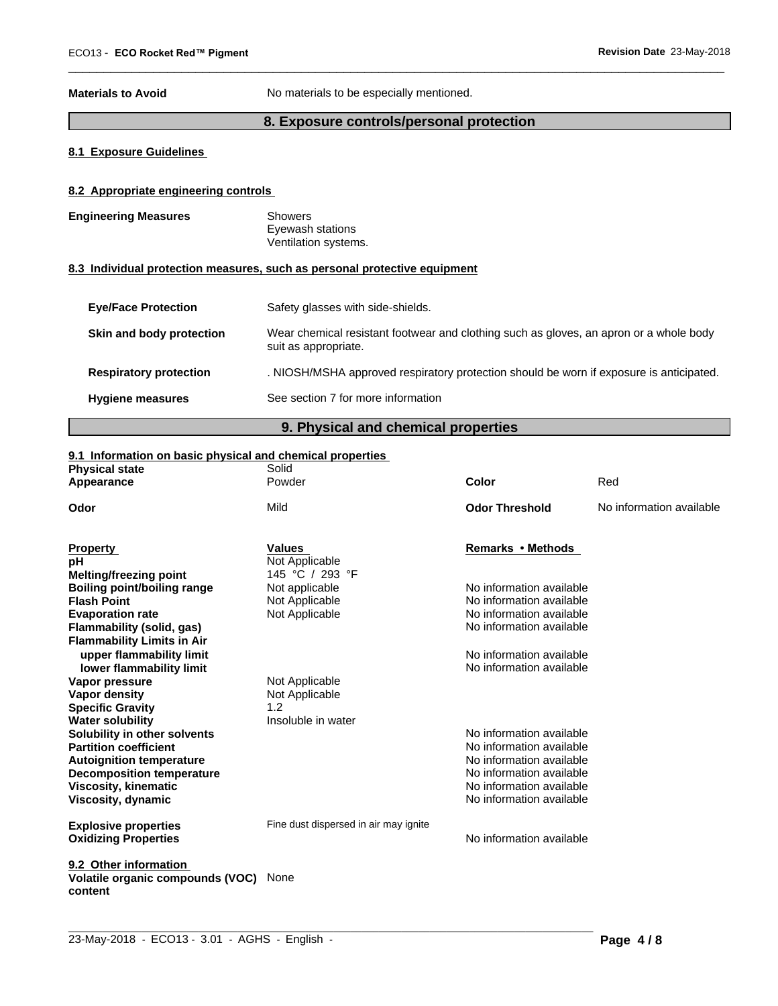**Materials to Avoid** No materials to be especially mentioned.

# **8. Exposure controls/personal protection**

 $\overline{\phantom{a}}$  ,  $\overline{\phantom{a}}$  ,  $\overline{\phantom{a}}$  ,  $\overline{\phantom{a}}$  ,  $\overline{\phantom{a}}$  ,  $\overline{\phantom{a}}$  ,  $\overline{\phantom{a}}$  ,  $\overline{\phantom{a}}$  ,  $\overline{\phantom{a}}$  ,  $\overline{\phantom{a}}$  ,  $\overline{\phantom{a}}$  ,  $\overline{\phantom{a}}$  ,  $\overline{\phantom{a}}$  ,  $\overline{\phantom{a}}$  ,  $\overline{\phantom{a}}$  ,  $\overline{\phantom{a}}$ 

#### **8.1 Exposure Guidelines**

#### **8.2 Appropriate engineering controls**

| <b>Engineering Measures</b>   | <b>Showers</b><br>Eyewash stations<br>Ventilation systems.                                                     |
|-------------------------------|----------------------------------------------------------------------------------------------------------------|
|                               | 8.3 Individual protection measures, such as personal protective equipment                                      |
| <b>Eye/Face Protection</b>    | Safety glasses with side-shields.                                                                              |
| Skin and body protection      | Wear chemical resistant footwear and clothing such as gloves, an apron or a whole body<br>suit as appropriate. |
| <b>Respiratory protection</b> | . NIOSH/MSHA approved respiratory protection should be worn if exposure is anticipated.                        |
| <b>Hygiene measures</b>       | See section 7 for more information                                                                             |

# **9. Physical and chemical properties**

#### **9.1 Information on basic physical and chemical properties**

| <b>Physical state</b>                       | Solid                                 |                          |                          |
|---------------------------------------------|---------------------------------------|--------------------------|--------------------------|
| Appearance                                  | Powder                                | Color                    | Red                      |
| Odor                                        | Mild                                  | <b>Odor Threshold</b>    | No information available |
| <b>Property</b>                             | <b>Values</b>                         | Remarks • Methods        |                          |
| pН                                          | Not Applicable                        |                          |                          |
| Melting/freezing point                      | 145 °C / 293 °F                       |                          |                          |
| <b>Boiling point/boiling range</b>          | Not applicable                        | No information available |                          |
| <b>Flash Point</b>                          | Not Applicable                        | No information available |                          |
| <b>Evaporation rate</b>                     | Not Applicable                        | No information available |                          |
| Flammability (solid, gas)                   |                                       | No information available |                          |
| <b>Flammability Limits in Air</b>           |                                       |                          |                          |
| upper flammability limit                    |                                       | No information available |                          |
| lower flammability limit                    |                                       | No information available |                          |
| Vapor pressure                              | Not Applicable                        |                          |                          |
| Vapor density                               | Not Applicable                        |                          |                          |
| <b>Specific Gravity</b>                     | 1.2                                   |                          |                          |
| <b>Water solubility</b>                     | Insoluble in water                    |                          |                          |
| Solubility in other solvents                |                                       | No information available |                          |
| <b>Partition coefficient</b>                |                                       | No information available |                          |
| <b>Autoignition temperature</b>             |                                       | No information available |                          |
| <b>Decomposition temperature</b>            |                                       | No information available |                          |
| <b>Viscosity, kinematic</b>                 |                                       | No information available |                          |
| Viscosity, dynamic                          |                                       | No information available |                          |
| <b>Explosive properties</b>                 | Fine dust dispersed in air may ignite |                          |                          |
| <b>Oxidizing Properties</b>                 |                                       | No information available |                          |
| 9.2 Other information                       |                                       |                          |                          |
| Volatile organic compounds (VOC)<br>content | None                                  |                          |                          |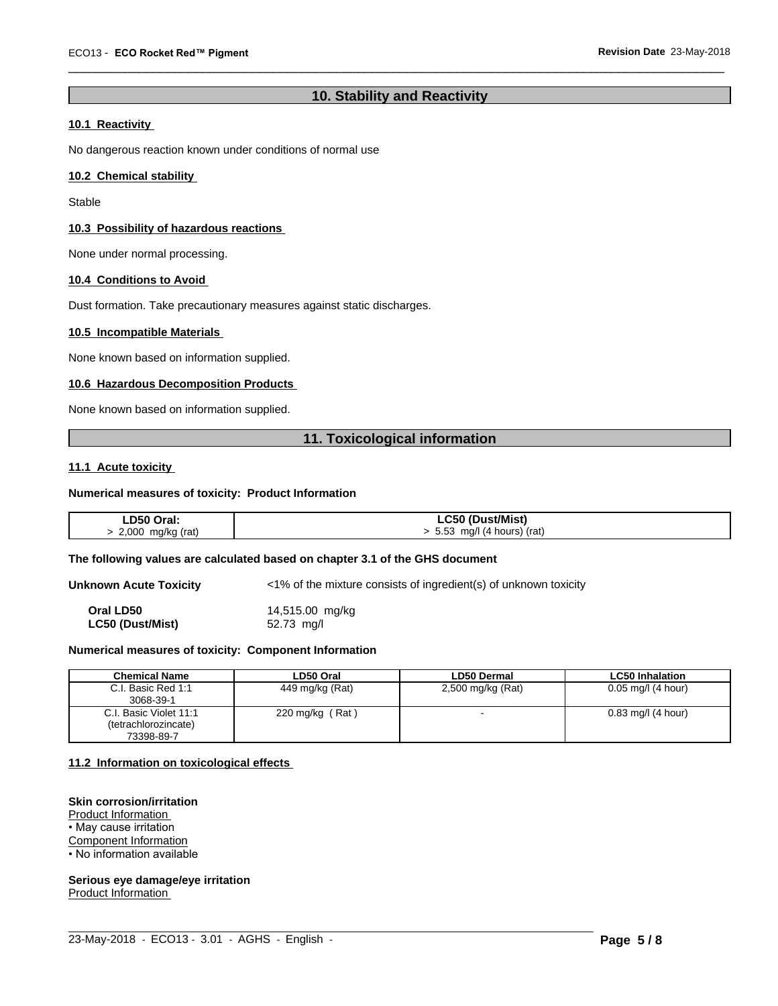# **10. Stability and Reactivity**

 $\overline{\phantom{a}}$  ,  $\overline{\phantom{a}}$  ,  $\overline{\phantom{a}}$  ,  $\overline{\phantom{a}}$  ,  $\overline{\phantom{a}}$  ,  $\overline{\phantom{a}}$  ,  $\overline{\phantom{a}}$  ,  $\overline{\phantom{a}}$  ,  $\overline{\phantom{a}}$  ,  $\overline{\phantom{a}}$  ,  $\overline{\phantom{a}}$  ,  $\overline{\phantom{a}}$  ,  $\overline{\phantom{a}}$  ,  $\overline{\phantom{a}}$  ,  $\overline{\phantom{a}}$  ,  $\overline{\phantom{a}}$ 

## **10.1 Reactivity**

No dangerous reaction known under conditions of normal use

#### **10.2 Chemical stability**

Stable

#### **10.3 Possibility of hazardous reactions**

None under normal processing.

#### **10.4 Conditions to Avoid**

Dust formation. Take precautionary measures against static discharges.

#### **10.5 Incompatible Materials**

None known based on information supplied.

#### **10.6 Hazardous Decomposition Products**

None known based on information supplied.

#### **11. Toxicological information**

#### **11.1 Acute toxicity**

#### **Numerical measures of toxicity: Product Information**

| LD50 Oral:        | LC50 (Dust/Mist)              |
|-------------------|-------------------------------|
| 2,000 mg/kg (rat) | $> 5.53$ mg/l (4 hours) (rat) |

#### **The following values are calculated based on chapter 3.1 of the GHS document**

**Unknown Acute Toxicity** <1% of the mixture consists of ingredient(s) of unknown toxicity **Oral LD50** 14,515.00 mg/kg **LC50 (Dust/Mist)** 52.73 mg/l

#### **Numerical measures of toxicity: Component Information**

| <b>Chemical Name</b>   | LD50 Oral                    | <b>LD50 Dermal</b> | <b>LC50 Inhalation</b> |
|------------------------|------------------------------|--------------------|------------------------|
| C.I. Basic Red 1:1     | 449 mg/kg (Rat)              | 2,500 mg/kg (Rat)  | $0.05$ mg/l (4 hour)   |
| 3068-39-1              |                              |                    |                        |
| C.I. Basic Violet 11:1 | Rat \<br>$220 \text{ mg/kg}$ |                    | $0.83$ mg/l (4 hour)   |
| (tetrachlorozincate)   |                              |                    |                        |
| 73398-89-7             |                              |                    |                        |

 $\_$  ,  $\_$  ,  $\_$  ,  $\_$  ,  $\_$  ,  $\_$  ,  $\_$  ,  $\_$  ,  $\_$  ,  $\_$  ,  $\_$  ,  $\_$  ,  $\_$  ,  $\_$  ,  $\_$  ,  $\_$  ,  $\_$  ,  $\_$  ,  $\_$  ,  $\_$  ,  $\_$  ,  $\_$  ,  $\_$  ,  $\_$  ,  $\_$  ,  $\_$  ,  $\_$  ,  $\_$  ,  $\_$  ,  $\_$  ,  $\_$  ,  $\_$  ,  $\_$  ,  $\_$  ,  $\_$  ,  $\_$  ,  $\_$  ,

#### **11.2 Information on toxicologicaleffects**

#### **Skin corrosion/irritation**

Product Information • May cause irritation

Component Information • No information available

**Serious eye damage/eye irritation**

Product Information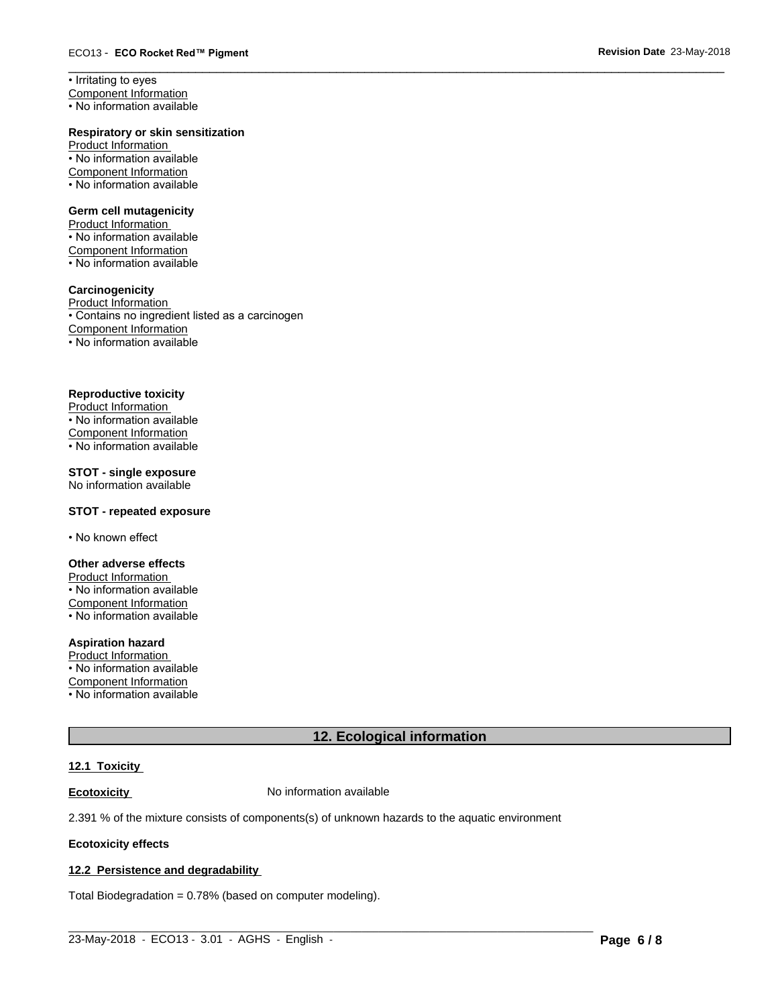• Irritating to eyes Component Information

• No information available

#### **Respiratory or skin sensitization**

Product Information • No information available Component Information • No information available

#### **Germ cell mutagenicity**

Product Information • No information available Component Information • No information available

#### **Carcinogenicity**

Product Information • Contains no ingredient listed as a carcinogen Component Information • No information available

#### **Reproductive toxicity**

Product Information • No information available Component Information • No information available

### **STOT - single exposure**

No information available

#### **STOT - repeated exposure**

• No known effect

#### **Other adverse effects**

Product Information • No information available Component Information • No information available

#### **Aspiration hazard**

Product Information • No information available Component Information • No information available

# **12. Ecological information**

 $\overline{\phantom{a}}$  ,  $\overline{\phantom{a}}$  ,  $\overline{\phantom{a}}$  ,  $\overline{\phantom{a}}$  ,  $\overline{\phantom{a}}$  ,  $\overline{\phantom{a}}$  ,  $\overline{\phantom{a}}$  ,  $\overline{\phantom{a}}$  ,  $\overline{\phantom{a}}$  ,  $\overline{\phantom{a}}$  ,  $\overline{\phantom{a}}$  ,  $\overline{\phantom{a}}$  ,  $\overline{\phantom{a}}$  ,  $\overline{\phantom{a}}$  ,  $\overline{\phantom{a}}$  ,  $\overline{\phantom{a}}$ 

# **12.1 Toxicity**

**Ecotoxicity No information available** 

2.391 % of the mixture consists of components(s) of unknown hazards to the aquatic environment

#### **Ecotoxicity effects**

# **12.2 Persistence and degradability**

Total Biodegradation = 0.78% (based on computer modeling).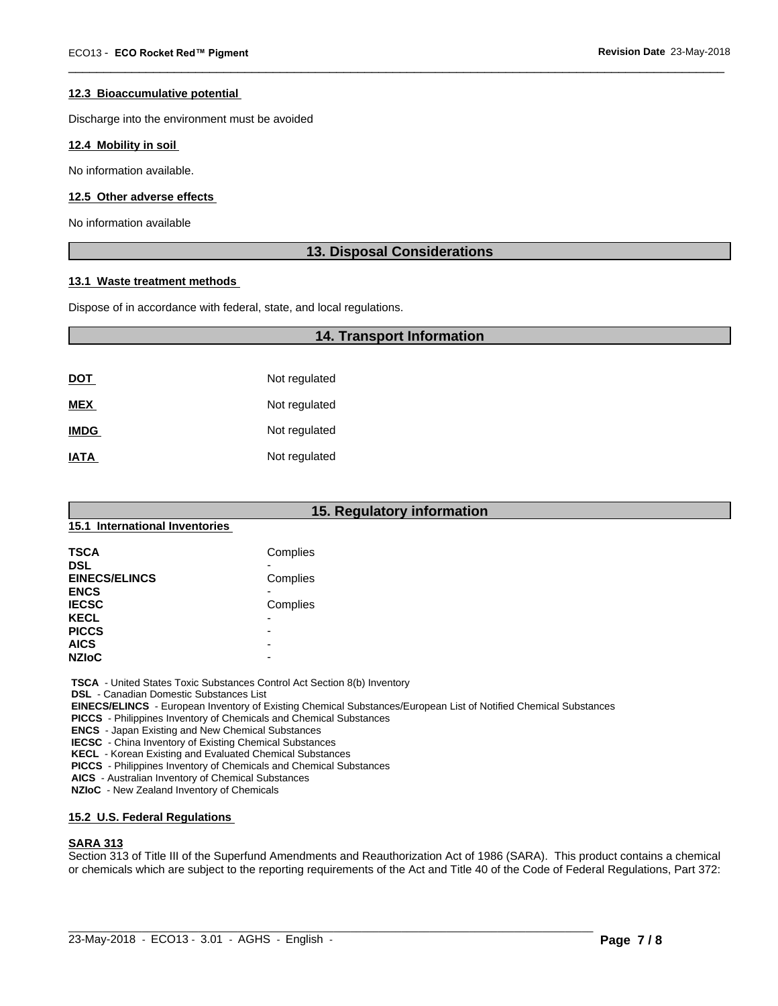#### **12.3 Bioaccumulative potential**

Discharge into the environment must be avoided

#### **12.4 Mobility in soil**

No information available.

#### **12.5 Other adverse effects**

No information available

#### **13. Disposal Considerations**

 $\overline{\phantom{a}}$  ,  $\overline{\phantom{a}}$  ,  $\overline{\phantom{a}}$  ,  $\overline{\phantom{a}}$  ,  $\overline{\phantom{a}}$  ,  $\overline{\phantom{a}}$  ,  $\overline{\phantom{a}}$  ,  $\overline{\phantom{a}}$  ,  $\overline{\phantom{a}}$  ,  $\overline{\phantom{a}}$  ,  $\overline{\phantom{a}}$  ,  $\overline{\phantom{a}}$  ,  $\overline{\phantom{a}}$  ,  $\overline{\phantom{a}}$  ,  $\overline{\phantom{a}}$  ,  $\overline{\phantom{a}}$ 

#### **13.1 Waste treatment methods**

Dispose of in accordance with federal, state, and local regulations.

|             | <b>14. Transport Information</b> |  |
|-------------|----------------------------------|--|
|             |                                  |  |
| <u>DOT</u>  | Not regulated                    |  |
| <b>MEX</b>  | Not regulated                    |  |
| <b>IMDG</b> | Not regulated                    |  |
| <b>IATA</b> | Not regulated                    |  |

# **15. Regulatory information**

#### **15.1 International Inventories**

| <b>TSCA</b>          | Complies                 |  |
|----------------------|--------------------------|--|
| <b>DSL</b>           |                          |  |
| <b>EINECS/ELINCS</b> | Complies                 |  |
| <b>ENCS</b>          |                          |  |
| <b>IECSC</b>         | Complies                 |  |
| <b>KECL</b>          | $\overline{\phantom{0}}$ |  |
| <b>PICCS</b>         | -                        |  |
| <b>AICS</b>          | -                        |  |
| <b>NZIoC</b>         | -                        |  |

 **TSCA** - United States Toxic Substances Control Act Section 8(b) Inventory

 **DSL** - Canadian Domestic Substances List

 **EINECS/ELINCS** - European Inventory of Existing Chemical Substances/European List of Notified Chemical Substances

 **PICCS** - Philippines Inventory of Chemicals and Chemical Substances

 **ENCS** - Japan Existing and New Chemical Substances

 **IECSC** - China Inventory of Existing Chemical Substances

 **KECL** - Korean Existing and Evaluated Chemical Substances

 **PICCS** - Philippines Inventory of Chemicals and Chemical Substances

 **AICS** - Australian Inventory of Chemical Substances

 **NZIoC** - New Zealand Inventory of Chemicals

#### **15.2 U.S. Federal Regulations**

#### **SARA 313**

Section 313 of Title III of the Superfund Amendments and Reauthorization Act of 1986 (SARA). This product contains a chemical or chemicals which are subject to the reporting requirements of the Act and Title 40 of the Code of Federal Regulations, Part 372: